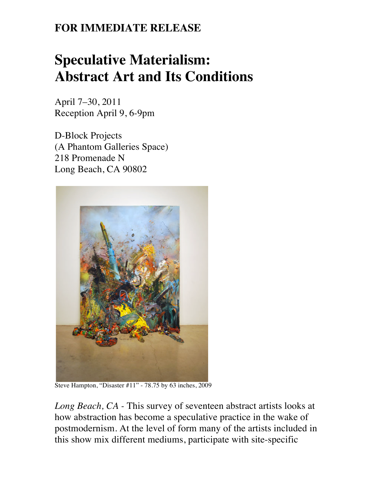## **FOR IMMEDIATE RELEASE**

## **Speculative Materialism: Abstract Art and Its Conditions**

April 7–30, 2011 Reception April 9, 6-9pm

D-Block Projects (A Phantom Galleries Space) 218 Promenade N Long Beach, CA 90802



Steve Hampton, "Disaster #11" - 78.75 by 63 inches, 2009

*Long Beach, CA -* This survey of seventeen abstract artists looks at how abstraction has become a speculative practice in the wake of postmodernism. At the level of form many of the artists included in this show mix different mediums, participate with site-specific